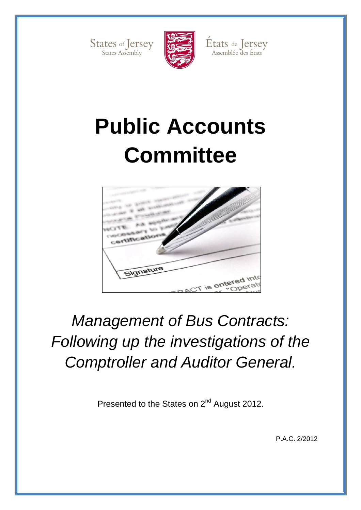



États de Jersey<br>Assemblée des États

# **Public Accounts Committee**



# Management of Bus Contracts: Following up the investigations of the Comptroller and Auditor General.

Presented to the States on 2<sup>nd</sup> August 2012.

P.A.C. 2/2012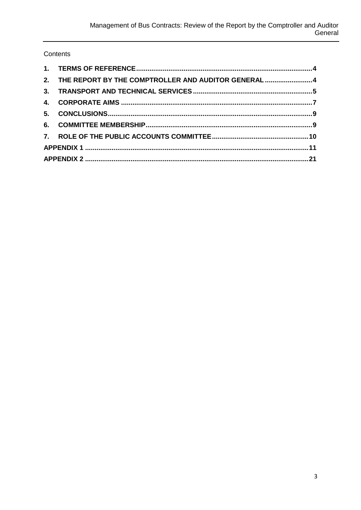#### Contents

| 2. THE REPORT BY THE COMPTROLLER AND AUDITOR GENERAL 4 |  |
|--------------------------------------------------------|--|
|                                                        |  |
|                                                        |  |
|                                                        |  |
|                                                        |  |
|                                                        |  |
|                                                        |  |
|                                                        |  |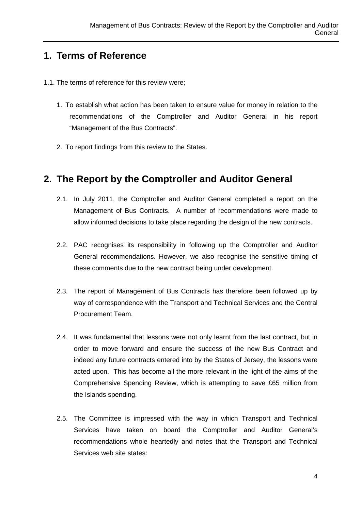#### **1. Terms of Reference**

- 1.1. The terms of reference for this review were;
	- 1. To establish what action has been taken to ensure value for money in relation to the recommendations of the Comptroller and Auditor General in his report "Management of the Bus Contracts".
	- 2. To report findings from this review to the States.

#### **2. The Report by the Comptroller and Auditor General**

- 2.1. In July 2011, the Comptroller and Auditor General completed a report on the Management of Bus Contracts. A number of recommendations were made to allow informed decisions to take place regarding the design of the new contracts.
- 2.2. PAC recognises its responsibility in following up the Comptroller and Auditor General recommendations. However, we also recognise the sensitive timing of these comments due to the new contract being under development.
- 2.3. The report of Management of Bus Contracts has therefore been followed up by way of correspondence with the Transport and Technical Services and the Central Procurement Team.
- 2.4. It was fundamental that lessons were not only learnt from the last contract, but in order to move forward and ensure the success of the new Bus Contract and indeed any future contracts entered into by the States of Jersey, the lessons were acted upon. This has become all the more relevant in the light of the aims of the Comprehensive Spending Review, which is attempting to save £65 million from the Islands spending.
- 2.5. The Committee is impressed with the way in which Transport and Technical Services have taken on board the Comptroller and Auditor General's recommendations whole heartedly and notes that the Transport and Technical Services web site states: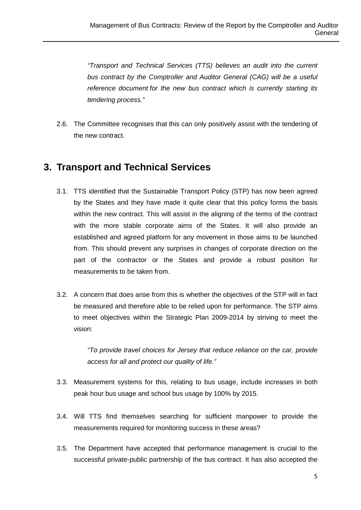"Transport and Technical Services (TTS) believes an audit into the current bus contract by the Comptroller and Auditor General (CAG) will be a useful reference document for the new bus contract which is currently starting its tendering process."

2.6. The Committee recognises that this can only positively assist with the tendering of the new contract.

#### **3. Transport and Technical Services**

- 3.1. TTS identified that the Sustainable Transport Policy (STP) has now been agreed by the States and they have made it quite clear that this policy forms the basis within the new contract. This will assist in the aligning of the terms of the contract with the more stable corporate aims of the States. It will also provide an established and agreed platform for any movement in those aims to be launched from. This should prevent any surprises in changes of corporate direction on the part of the contractor or the States and provide a robust position for measurements to be taken from.
- 3.2. A concern that does arise from this is whether the objectives of the STP will in fact be measured and therefore able to be relied upon for performance. The STP aims to meet objectives within the Strategic Plan 2009-2014 by striving to meet the vision:

"To provide travel choices for Jersey that reduce reliance on the car, provide access for all and protect our quality of life."

- 3.3. Measurement systems for this, relating to bus usage, include increases in both peak hour bus usage and school bus usage by 100% by 2015.
- 3.4. Will TTS find themselves searching for sufficient manpower to provide the measurements required for monitoring success in these areas?
- 3.5. The Department have accepted that performance management is crucial to the successful private-public partnership of the bus contract. It has also accepted the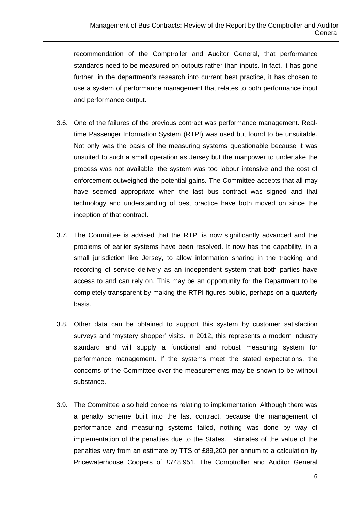recommendation of the Comptroller and Auditor General, that performance standards need to be measured on outputs rather than inputs. In fact, it has gone further, in the department's research into current best practice, it has chosen to use a system of performance management that relates to both performance input and performance output.

- 3.6. One of the failures of the previous contract was performance management. Realtime Passenger Information System (RTPI) was used but found to be unsuitable. Not only was the basis of the measuring systems questionable because it was unsuited to such a small operation as Jersey but the manpower to undertake the process was not available, the system was too labour intensive and the cost of enforcement outweighed the potential gains. The Committee accepts that all may have seemed appropriate when the last bus contract was signed and that technology and understanding of best practice have both moved on since the inception of that contract.
- 3.7. The Committee is advised that the RTPI is now significantly advanced and the problems of earlier systems have been resolved. It now has the capability, in a small jurisdiction like Jersey, to allow information sharing in the tracking and recording of service delivery as an independent system that both parties have access to and can rely on. This may be an opportunity for the Department to be completely transparent by making the RTPI figures public, perhaps on a quarterly basis.
- 3.8. Other data can be obtained to support this system by customer satisfaction surveys and 'mystery shopper' visits. In 2012, this represents a modern industry standard and will supply a functional and robust measuring system for performance management. If the systems meet the stated expectations, the concerns of the Committee over the measurements may be shown to be without substance.
- 3.9. The Committee also held concerns relating to implementation. Although there was a penalty scheme built into the last contract, because the management of performance and measuring systems failed, nothing was done by way of implementation of the penalties due to the States. Estimates of the value of the penalties vary from an estimate by TTS of £89,200 per annum to a calculation by Pricewaterhouse Coopers of £748,951. The Comptroller and Auditor General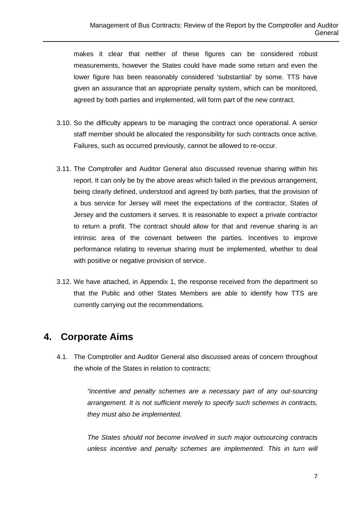makes it clear that neither of these figures can be considered robust measurements, however the States could have made some return and even the lower figure has been reasonably considered 'substantial' by some. TTS have given an assurance that an appropriate penalty system, which can be monitored, agreed by both parties and implemented, will form part of the new contract.

- 3.10. So the difficulty appears to be managing the contract once operational. A senior staff member should be allocated the responsibility for such contracts once active. Failures, such as occurred previously, cannot be allowed to re-occur.
- 3.11. The Comptroller and Auditor General also discussed revenue sharing within his report. It can only be by the above areas which failed in the previous arrangement, being clearly defined, understood and agreed by both parties, that the provision of a bus service for Jersey will meet the expectations of the contractor, States of Jersey and the customers it serves. It is reasonable to expect a private contractor to return a profit. The contract should allow for that and revenue sharing is an intrinsic area of the covenant between the parties. Incentives to improve performance relating to revenue sharing must be implemented, whether to deal with positive or negative provision of service.
- 3.12. We have attached, in Appendix 1, the response received from the department so that the Public and other States Members are able to identify how TTS are currently carrying out the recommendations.

#### **4. Corporate Aims**

4.1. The Comptroller and Auditor General also discussed areas of concern throughout the whole of the States in relation to contracts;

> "incentive and penalty schemes are a necessary part of any out-sourcing arrangement. It is not sufficient merely to specify such schemes in contracts, they must also be implemented.

> The States should not become involved in such major outsourcing contracts unless incentive and penalty schemes are implemented. This in turn will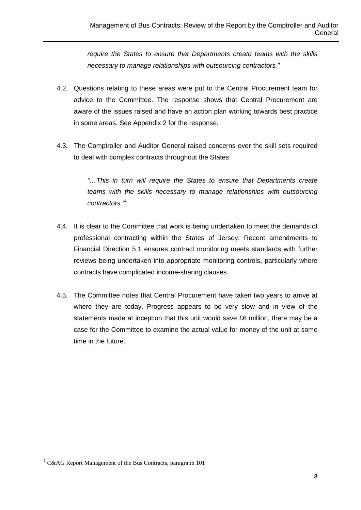require the States to ensure that Departments create teams with the skills necessary to manage relationships with outsourcing contractors."

- 4.2. Questions relating to these areas were put to the Central Procurement team for advice to the Committee. The response shows that Central Procurement are aware of the issues raised and have an action plan working towards best practice in some areas. See Appendix 2 for the response.
- 4.3. The Comptroller and Auditor General raised concerns over the skill sets required to deal with complex contracts throughout the States:

"…This in turn will require the States to ensure that Departments create teams with the skills necessary to manage relationships with outsourcing contractors."

- 4.4. It is clear to the Committee that work is being undertaken to meet the demands of professional contracting within the States of Jersey. Recent amendments to Financial Direction 5.1 ensures contract monitoring meets standards with further reviews being undertaken into appropriate monitoring controls, particularly where contracts have complicated income-sharing clauses.
- 4.5. The Committee notes that Central Procurement have taken two years to arrive at where they are today. Progress appears to be very slow and in view of the statements made at inception that this unit would save £6 million, there may be a case for the Committee to examine the actual value for money of the unit at some time in the future.

 $\overline{a}$ 

<sup>&</sup>lt;sup>1</sup> C&AG Report Management of the Bus Contracts, paragraph 101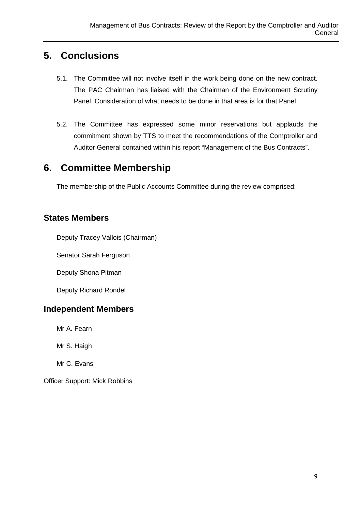#### **5. Conclusions**

- 5.1. The Committee will not involve itself in the work being done on the new contract. The PAC Chairman has liaised with the Chairman of the Environment Scrutiny Panel. Consideration of what needs to be done in that area is for that Panel.
- 5.2. The Committee has expressed some minor reservations but applauds the commitment shown by TTS to meet the recommendations of the Comptroller and Auditor General contained within his report "Management of the Bus Contracts".

#### **6. Committee Membership**

The membership of the Public Accounts Committee during the review comprised:

#### **States Members**

Deputy Tracey Vallois (Chairman)

Senator Sarah Ferguson

Deputy Shona Pitman

Deputy Richard Rondel

#### **Independent Members**

Mr A. Fearn

Mr S. Haigh

Mr C. Evans

Officer Support: Mick Robbins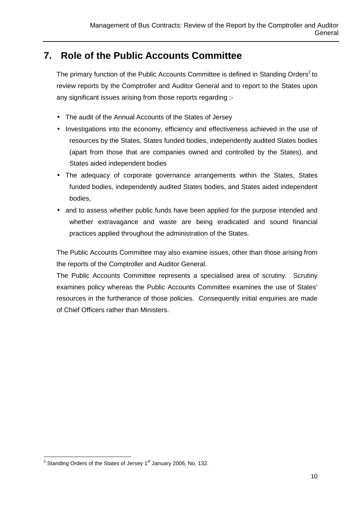#### **7. Role of the Public Accounts Committee**

The primary function of the Public Accounts Committee is defined in Standing Orders<sup>2</sup> to review reports by the Comptroller and Auditor General and to report to the States upon any significant issues arising from those reports regarding :-

- The audit of the Annual Accounts of the States of Jersey
- Investigations into the economy, efficiency and effectiveness achieved in the use of resources by the States, States funded bodies, independently audited States bodies (apart from those that are companies owned and controlled by the States), and States aided independent bodies
- The adequacy of corporate governance arrangements within the States, States funded bodies, independently audited States bodies, and States aided independent bodies,
- and to assess whether public funds have been applied for the purpose intended and whether extravagance and waste are being eradicated and sound financial practices applied throughout the administration of the States.

The Public Accounts Committee may also examine issues, other than those arising from the reports of the Comptroller and Auditor General.

The Public Accounts Committee represents a specialised area of scrutiny. Scrutiny examines policy whereas the Public Accounts Committee examines the use of States' resources in the furtherance of those policies. Consequently initial enquiries are made of Chief Officers rather than Ministers.

 $\overline{a}$ 

<sup>&</sup>lt;sup>2</sup> Standing Orders of the States of Jersey 1<sup>st</sup> January 2006, No. 132.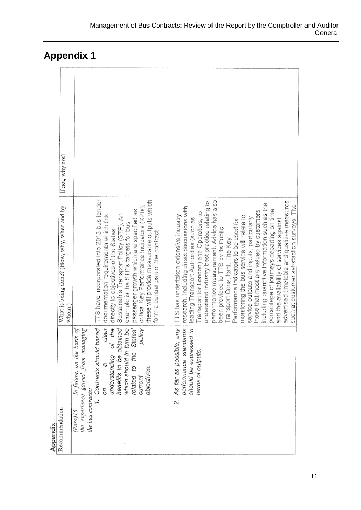| If not, why not?<br>What is being done? (How, why, when and by | TTS have incorporated into 2013 bus tender<br>these will provide measurable outputs which<br>critical Key Performance Indicators (KPIs)<br>passenger growth which are specified as<br>Sustainable Transport Policy (STP), An<br>documentation requirements which link<br>example is the STP's targets for bus<br>orm a central part of the contract.<br>directly to objectives of the States | performance measurement. Advice has also<br>advertised timetable and qualitive measures<br>understand industry best practice relating to<br>including quantitive information such as the<br>research, including direct discussions with<br>percentage of journeys departing on time<br>those that most are valued by customers<br>Transport for London) and Operators, to<br>TTS has undertaken extensive industry<br>monitoring the bus service will relate to<br>service outputs and inputs, particularly<br>leading Transport Authorities (such as<br>Performance Indicators to be used for<br>and the availability of services against<br>been provided to TTS by its Public |
|----------------------------------------------------------------|----------------------------------------------------------------------------------------------------------------------------------------------------------------------------------------------------------------------------------------------------------------------------------------------------------------------------------------------------------------------------------------------|----------------------------------------------------------------------------------------------------------------------------------------------------------------------------------------------------------------------------------------------------------------------------------------------------------------------------------------------------------------------------------------------------------------------------------------------------------------------------------------------------------------------------------------------------------------------------------------------------------------------------------------------------------------------------------|
| whom.<br>Recommendation<br>Appendix                            | 1. Contracts should based<br>dear<br>related to the States'<br>which should in turn be<br>understanding of the<br>benefits to be obtained<br>Ļ,<br>policy<br>the experience gained from managing<br>In future, on the basis<br>objectives.<br>current<br>m<br>the bus contracts:<br>$(Para)$ 16                                                                                              | Transport Consultant. The Key<br>As far as possible, any<br>performance standards<br>should be expressed in<br>terms of outputs.<br>.<br>N                                                                                                                                                                                                                                                                                                                                                                                                                                                                                                                                       |

## **Appendix 1**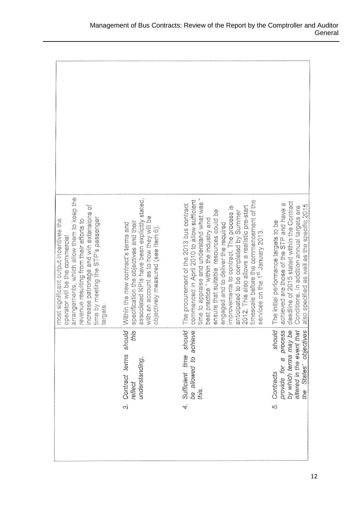| atrangements, which allow them to keep the<br>increase patronage and win extensions of<br>time by meeting the STP's passenger<br>revenue resulting from their efforts to<br>most significant output incentives the<br>operator will be the commercial<br>targets. | associated KPIs have been explicitly stated,<br>with an account as to how they will be<br>specification the objectives and their<br>Within the new contract's terms and<br>objectively measured (see Item 6). | time to appraise and understand what was "<br>commenced in April 2010 to allow sufficient<br>timescale before the commencement of the<br>The procurement of the 2013 bus contract<br>improvements to contract. The process is<br>anticipated to be completed by Summer<br>2012. This also allows a realistic pre-start<br>ensure that suitable resources could be<br>best practice "within the industry and<br>engaged and to deliver the required<br>services on the 1st January 2013. | deadline of 2015 stated within the Contract<br>achieved are those of the STP and have a<br>also specified as well as the specific 2015<br>Conditions. In addition annual targets are<br>The initial performance targets to be |
|-------------------------------------------------------------------------------------------------------------------------------------------------------------------------------------------------------------------------------------------------------------------|---------------------------------------------------------------------------------------------------------------------------------------------------------------------------------------------------------------|-----------------------------------------------------------------------------------------------------------------------------------------------------------------------------------------------------------------------------------------------------------------------------------------------------------------------------------------------------------------------------------------------------------------------------------------------------------------------------------------|-------------------------------------------------------------------------------------------------------------------------------------------------------------------------------------------------------------------------------|
|                                                                                                                                                                                                                                                                   | Contract terms should<br>this<br>understanding.<br>reflect<br>$\infty$                                                                                                                                        | Sufficient time should<br>be allowed to achieve<br>this.<br>4.                                                                                                                                                                                                                                                                                                                                                                                                                          | should<br>by which terms may be<br>altered in the event that<br>provide for a process<br>States' objectives<br>Contracts<br>the<br><sub>ယ</sub>                                                                               |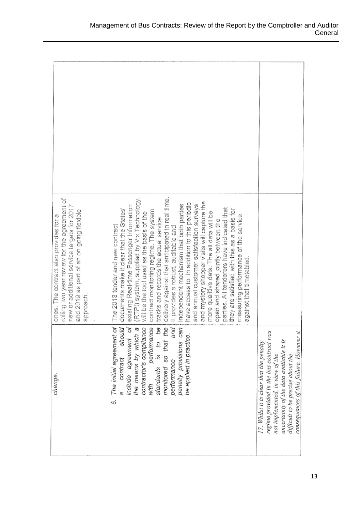| rolling two year review for the agreement of<br>new or additional service targets for 2017<br>and 2019 as part of an on going flexible<br>ones. The contract also provides for a<br>approach. | (RTPI) system, supplied by Vix Technology,<br>delivery against that anticipated in real time.<br>and mystery shopper visits will capture the<br>have access to. In addition to this periodic<br>independent mechanism that both parties<br>and annual customer satisfaction surveys<br>existing Real-time Passenger Information<br>parties. All tenderers have indicated that<br>documents make it clear that the States'<br>they are satisfied with this as a basis for<br>contract monitoring regime. The system<br>more qualitive data. The all data will be<br>will be the tool used as the basis of the<br>measuring performance of the service<br>tracks and records the actual service<br>open and shared jointly between the<br>The 2013 tender and new contract<br>It provides a robust, auditable and<br>against that timetabled. |                                                                                                                                                                                                                                                   |
|-----------------------------------------------------------------------------------------------------------------------------------------------------------------------------------------------|---------------------------------------------------------------------------------------------------------------------------------------------------------------------------------------------------------------------------------------------------------------------------------------------------------------------------------------------------------------------------------------------------------------------------------------------------------------------------------------------------------------------------------------------------------------------------------------------------------------------------------------------------------------------------------------------------------------------------------------------------------------------------------------------------------------------------------------------|---------------------------------------------------------------------------------------------------------------------------------------------------------------------------------------------------------------------------------------------------|
| change.                                                                                                                                                                                       | should<br>The initial agreement of<br>include agreement of<br>the means by which a<br>and<br>penalty provisions can<br>contractor's compliance<br>with performance<br>standards is to be<br>monitored so that the<br>be applied in practice.<br>contract<br>performance<br>6                                                                                                                                                                                                                                                                                                                                                                                                                                                                                                                                                                | regime provided in the bus contract was<br>consequences of this failure. However it<br>uncertainty of the data available it is<br>17. Whilst it is clear that the penalty<br>not implemented, in view of the<br>difficult to be precise about the |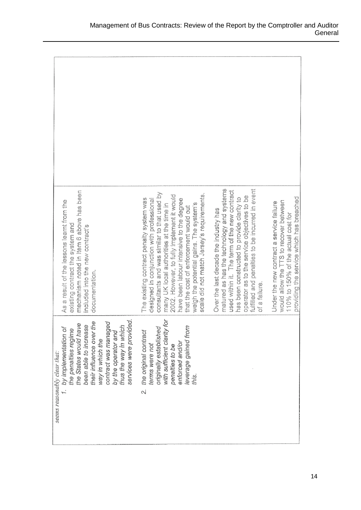| mechanism noted in Item 6 above has been<br>As a result of the lessons learnt from the<br>existing contract the system and<br>included into the new contract's<br>documentation.                                                                                                        | consultants and was similar to that used by<br>scale did not match Jersey's requirements.<br>2002. However, to fully implement it would<br>The existing contract penalty system was<br>have been labour intensive to the degree<br>designed in conjunction with professional<br>weigh the potential gains. The system's<br>many UK local authorities at the time in<br>that the cost of enforcement would out | matured as has the technology and systems<br>fulfilled and penalties to be incurred in event<br>used within it. The term of the new contract<br>operator as to the service objectives to be<br>has been constructed to provide clarity to<br>Over the last decade the industry has<br>of a failure. | providing the service which has breached<br>would allow the TTS to recover between<br>Under the new contract a service failure<br>110% to 150% of the actual cost for |
|-----------------------------------------------------------------------------------------------------------------------------------------------------------------------------------------------------------------------------------------------------------------------------------------|---------------------------------------------------------------------------------------------------------------------------------------------------------------------------------------------------------------------------------------------------------------------------------------------------------------------------------------------------------------------------------------------------------------|-----------------------------------------------------------------------------------------------------------------------------------------------------------------------------------------------------------------------------------------------------------------------------------------------------|-----------------------------------------------------------------------------------------------------------------------------------------------------------------------|
| services were provided.<br>their influence over the<br>contract was managed<br>the States would have<br>been able to increase<br>thus the way in which<br>by implementation of<br>the penalties regime<br>by the operator and<br>way in which the<br>seems reasonably clear that:<br>ŗ. | ģ<br>originally established<br>leverage gained from<br>with sufficient clarity<br>the original contract<br>enforced and/or<br>terms were not<br>penalties to be<br>this.<br>N                                                                                                                                                                                                                                 |                                                                                                                                                                                                                                                                                                     |                                                                                                                                                                       |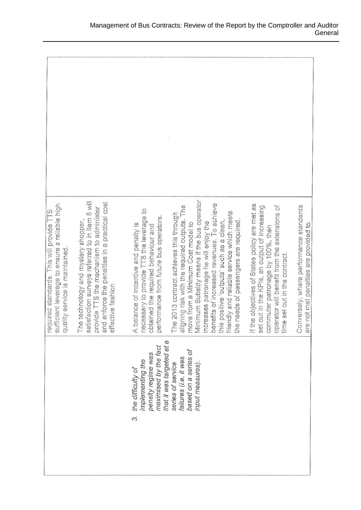| sufficient leverage to ensure a reliable high<br>uired standards. This will provide TTS<br>quality service is maintained.<br>reg | satisfaction surveys referred to in Item 6 will<br>and enforce the penalties in a practical cost<br>provide TTS the mechanism to administer<br>The technology and mystery shopper,<br>effective fashion | necessary to provide TTS the leverage to<br>performance from future bus operators<br>A balance of incentive and penalty is<br>obtained the required behaviour and | Minimum Subsidy means if the bus operator<br>lefits of increased revenues. To achieve<br>aligning risk with the required outputs. The<br>friendly and reliable service which meets<br>The 2013 contract achieves this through<br>positive 'outputs' such as a clean,<br>needs of passengers are required<br>eases patronage he will enjoy the<br>move from a Minimum Cost model to<br>ä<br>es<br>So<br>$\frac{1}{5}$<br>ŝ | If the objectives of States policy are met as<br>set out in the KPIs, an output of increasing<br>operator will benefit from the extensions of<br>commuter patronage by 100%, then<br>time set out in the contract. | Conversely, where performance standards<br>not met penalties are provided to<br>e, e |
|----------------------------------------------------------------------------------------------------------------------------------|---------------------------------------------------------------------------------------------------------------------------------------------------------------------------------------------------------|-------------------------------------------------------------------------------------------------------------------------------------------------------------------|---------------------------------------------------------------------------------------------------------------------------------------------------------------------------------------------------------------------------------------------------------------------------------------------------------------------------------------------------------------------------------------------------------------------------|--------------------------------------------------------------------------------------------------------------------------------------------------------------------------------------------------------------------|--------------------------------------------------------------------------------------|
|                                                                                                                                  |                                                                                                                                                                                                         | that it was targeted at a<br>maximised by the fact<br>penalty regime was<br>implementing the<br>the difficulty of<br>cs)                                          | based on a series of<br>failures (i.e. it was<br>series of service<br>input measures)                                                                                                                                                                                                                                                                                                                                     |                                                                                                                                                                                                                    |                                                                                      |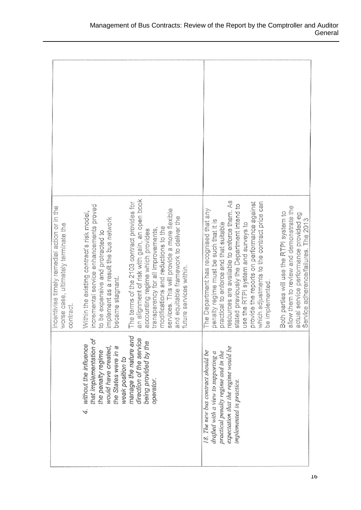| incentivise timely remedial action or in the<br>worse case, ultimately terminate the<br>contract. | incremental service enhancements proved<br>Within the existing contract's risk model,<br>implement as a result the bus network<br>to be expensive and protracted to<br>became stagnant. | an alignment of risk with gain, an open book<br>The terms of the 2103 contract provides for<br>services. This will provide a more flexible<br>and equitable framework to deliver the<br>modifications and reductions to the<br>transparency for all improvements,<br>accounting regime which provides<br>future services within. | esources are available to enforce them. As<br>provide the reports on performance against<br>which adjustments to the contract price can<br>stated previously the Department intend to<br>allow them to review and demonstrate the<br>The Department has recognised that any<br>Both parties will use the RTPI system to<br>actual service performance provided eg<br>The 2013<br>penalty regime must be such that it is<br>practical to enforce and that suitable<br>use the RTPI system and surveys to<br>Service adherence/failures.<br>be implemented. |
|---------------------------------------------------------------------------------------------------|-----------------------------------------------------------------------------------------------------------------------------------------------------------------------------------------|----------------------------------------------------------------------------------------------------------------------------------------------------------------------------------------------------------------------------------------------------------------------------------------------------------------------------------|-----------------------------------------------------------------------------------------------------------------------------------------------------------------------------------------------------------------------------------------------------------------------------------------------------------------------------------------------------------------------------------------------------------------------------------------------------------------------------------------------------------------------------------------------------------|
|                                                                                                   | that implementation of<br>without the influence<br>would have created,<br>the States were in a<br>the penalty regime<br>weak position to<br>4                                           | manage the nature and<br>direction of the service<br>being provided by the<br>operator.                                                                                                                                                                                                                                          | expectation that the regime would be<br>18. The new bus contract should be<br>practical penalty regime and in the<br>drafted with a view to supporting a<br>implemented in practice.                                                                                                                                                                                                                                                                                                                                                                      |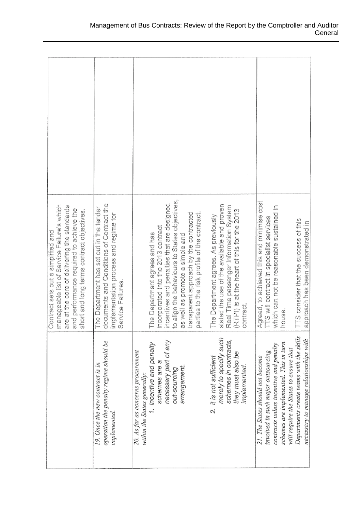| manageable list of Service Failure's which<br>are at the core of delivering the standards<br>and performance required to achieve the<br>short and long terms contract objectives.<br>Contract sets out a simplified and | documents and Conditions of Contract the<br>The Department has set out in the tender<br>implementation process and regime for<br>Service Failures. | to align the behaviours to States objectives,<br>incentives and penalties that are designed<br>transparent approach by the contracted<br>parties to the risk profile of the contract.<br>incorporated into the 2013 contract<br>The Department agrees and has<br>as well as promote a simple and | stated the use of the available and proven<br>Real Time passenger Information System<br>(RTPI) is at the heart of this for the 2013<br>The Department agrees. As previously<br>contract. | Agreed, to achieved this and minimise cost<br>which can not be reasonable sustained in<br>TTS will contract in specialist services<br>TTS consider that the success of this<br>approach has been demonstrated in<br>house.                                                                |
|-------------------------------------------------------------------------------------------------------------------------------------------------------------------------------------------------------------------------|----------------------------------------------------------------------------------------------------------------------------------------------------|--------------------------------------------------------------------------------------------------------------------------------------------------------------------------------------------------------------------------------------------------------------------------------------------------|------------------------------------------------------------------------------------------------------------------------------------------------------------------------------------------|-------------------------------------------------------------------------------------------------------------------------------------------------------------------------------------------------------------------------------------------------------------------------------------------|
|                                                                                                                                                                                                                         | operation the penalty regime should be<br>19. Once the new contract is in<br>implemented.                                                          | necessary part of any<br>1. incentive and penalty<br>20. As far as concerns procurement<br>schemes are a<br>arrangement.<br>out-sourcing<br>within the States generally:                                                                                                                         | merely to specify such<br>schemes in contracts,<br>they must also be<br>2. it is not sufficient<br>implemented.                                                                          | Departments create teams with the skills<br>necessary to manage relationships with<br>schemes are implemented. This in turn<br>contracts unless incentive and penalty<br>will require the States to ensure that<br>involved in such major outsourcing<br>21. The States should not become |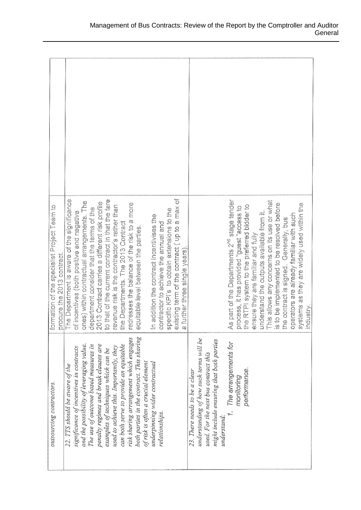| ormation of the specialist Project Team to<br>procure the 2013 contract | existing term of the contract (up to a max of<br>o that of the current contract in that the fare<br>The Department is aware of the significance<br>ones) within contractual arrangements. The<br>2013 Contract carries a different risk profile<br>edresses the balance of the risk to a more<br>evenue risk is the contractor's rather than<br>department consider that the terms of the<br>specific KPI's to obtain extensions to the<br>of incentives (both positive and negative<br>n addition the contract incentivises the<br>contractor to achieve the annual and<br>he Departments. The 2013 Contract<br>equitable level between the parties.<br>a further three single years) | As part of the Departments 2 <sup>nd</sup> stage tender<br>This allows any concerns on its use or what<br>systems as they are widely used within the<br>s to be implemented to be resolved before<br>the RTPI system to the preferred bidder to<br>process, it has provided "guest" access to<br>inderstand the outputs available from it.<br>operators are already familiar with such<br>the contract is signed. Generally, bus<br>ensure they are familiar and fully<br>ndustry |
|-------------------------------------------------------------------------|----------------------------------------------------------------------------------------------------------------------------------------------------------------------------------------------------------------------------------------------------------------------------------------------------------------------------------------------------------------------------------------------------------------------------------------------------------------------------------------------------------------------------------------------------------------------------------------------------------------------------------------------------------------------------------------|-----------------------------------------------------------------------------------------------------------------------------------------------------------------------------------------------------------------------------------------------------------------------------------------------------------------------------------------------------------------------------------------------------------------------------------------------------------------------------------|
| outsourcing contractors.                                                | both parties in the contract. This sharing<br>risk sharing arrangement which engages<br>can both serve to provide an equitable<br>and the possibility of leveraging value.<br>penalty regimes and break clauses are<br>The use of outcome based measures in<br>used to achieve this. Importantly, they<br>significance of incentives in contracts<br>examples of techniques which can be<br>of risk is often a crucial element<br>underpinning wider contractual<br>22. TTS should be aware of the<br>relationships.                                                                                                                                                                   | understanding of how such terms will be<br>might include ensuring that both parties<br>The arrangements for<br>used. For the next bus contract this<br>performance.<br>23. There needs to be a clear<br>monitoring<br>understand:                                                                                                                                                                                                                                                 |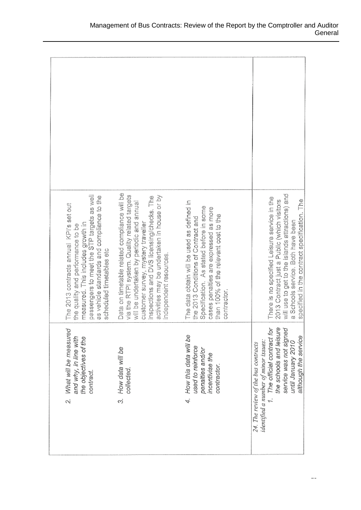| passengers to meet the STP targets as well<br>as vehicle standards and compliance to the<br>The 2013 contracts annual KPI's set out<br>measured. This includes growth in<br>the quality and performance to be<br>scheduled timetables etc | Data on timetable related compliance will be<br>via the RTPI system. Quality related targets<br>activities may be undertaken in house or by<br>inspections and DVS licensing/checks. The<br>will be undertaken by periodic and annual<br>customer survey, mystery traveller<br>independent resources. | The data obtain will be used as defined in<br>Specification. As stated before in some<br>cases penalties are expressed as more<br>than 100% of the relevant cost to the<br>the 2013 Conditions of Contract and<br>contractor. | will use to get to the islands attractions) and<br>There is no specified Leisure service in the<br>specified in the contract specification. The<br>2013 Contract just a Public (which visitors<br>a Schools service. Both have been |
|-------------------------------------------------------------------------------------------------------------------------------------------------------------------------------------------------------------------------------------------|-------------------------------------------------------------------------------------------------------------------------------------------------------------------------------------------------------------------------------------------------------------------------------------------------------|-------------------------------------------------------------------------------------------------------------------------------------------------------------------------------------------------------------------------------|-------------------------------------------------------------------------------------------------------------------------------------------------------------------------------------------------------------------------------------|
| What will be measured<br>and why, in line with<br>the objectives of the<br>contract.<br>$\mathcal{L}$                                                                                                                                     | How data will be<br>collected.<br>.<br>ო                                                                                                                                                                                                                                                              | 4. How this data will be<br>used to reinforce<br>penalties and/or<br>incentivise the<br>contractor.                                                                                                                           | 1. The official contract for<br>the schools and leisure<br>service was not signed<br>although the service<br>until January 2010<br>identified a number of minor issues:<br>24. The review of the bus contracts                      |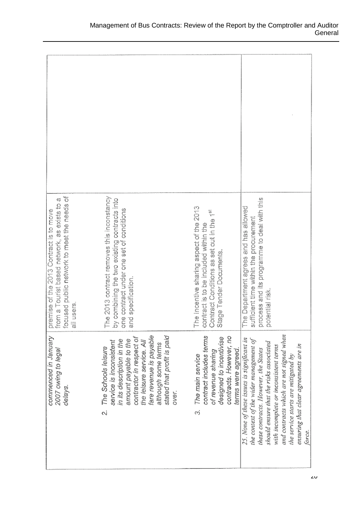| focused public network to meet the needs of<br>Ç<br>premise of the 2013 Contract is to move<br>from a Tourist based network, as exists to<br>all users. | The 2013 contract removes this inconstancy<br>by combining the two existing contracts into<br>one contract under one set of conditions<br>and specification.                                                                                               | The Incentive sharing aspect of the 2013<br>Contract Conditions as set out in the 1st<br>contract is to be included within the<br>Stage Tender Documents | process and its programme to deal with this<br>potential risk.<br>he Department agrees and has allowed<br>sufficient time within the procurement<br>F.                                                                                                                                                                                                |
|---------------------------------------------------------------------------------------------------------------------------------------------------------|------------------------------------------------------------------------------------------------------------------------------------------------------------------------------------------------------------------------------------------------------------|----------------------------------------------------------------------------------------------------------------------------------------------------------|-------------------------------------------------------------------------------------------------------------------------------------------------------------------------------------------------------------------------------------------------------------------------------------------------------------------------------------------------------|
| commenced in January<br>2007 owing to legal<br>delays.                                                                                                  | fare revenue is payable<br>stated that profit is paid<br>contractor in respect of<br>amount payable to the<br>in its description in the<br>the leisure service. All<br>service is inconsistent<br>although some terms<br>The Schools leisure<br>over.<br>Ń | contract includes terms<br>contracts. However, no<br>designed to incentivise<br>terms were agreed<br>of revenue sharing<br>The main service<br>ຕ         | and contracts which are not signed when<br>25. None of these issues is significant in<br>the context of the wider management of<br>should ensure that the risks associated<br>ensuring that clear agreements are in<br>with incomplete or inconsistent terms<br>these contracts. However, the States<br>the service starts are mitigated by<br>force. |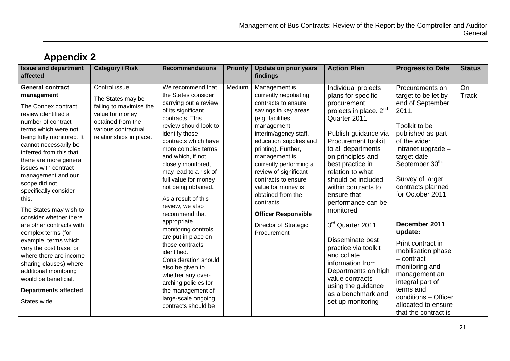| <b>Issue and department</b><br>affected                                                                                                                                                                                                                                                                                                                                                           | <b>Category / Risk</b>                                                                                                                                  | <b>Recommendations</b>                                                                                                                                                                                                                                                                                                                                                             | <b>Priority</b> | <b>Update on prior years</b><br>findings                                                                                                                                                                                                                                                                                                                                             | <b>Action Plan</b>                                                                                                                                                                                                                                                                                                                              | <b>Progress to Date</b>                                                                                                                                                                                                                                     | <b>Status</b>      |
|---------------------------------------------------------------------------------------------------------------------------------------------------------------------------------------------------------------------------------------------------------------------------------------------------------------------------------------------------------------------------------------------------|---------------------------------------------------------------------------------------------------------------------------------------------------------|------------------------------------------------------------------------------------------------------------------------------------------------------------------------------------------------------------------------------------------------------------------------------------------------------------------------------------------------------------------------------------|-----------------|--------------------------------------------------------------------------------------------------------------------------------------------------------------------------------------------------------------------------------------------------------------------------------------------------------------------------------------------------------------------------------------|-------------------------------------------------------------------------------------------------------------------------------------------------------------------------------------------------------------------------------------------------------------------------------------------------------------------------------------------------|-------------------------------------------------------------------------------------------------------------------------------------------------------------------------------------------------------------------------------------------------------------|--------------------|
| <b>General contract</b><br>management<br>The Connex contract<br>review identified a<br>number of contract<br>terms which were not<br>being fully monitored. It<br>cannot necessarily be<br>inferred from this that<br>there are more general<br>issues with contract<br>management and our<br>scope did not<br>specifically consider<br>this.<br>The States may wish to<br>consider whether there | Control issue<br>The States may be<br>failing to maximise the<br>value for money<br>obtained from the<br>various contractual<br>relationships in place. | We recommend that<br>the States consider<br>carrying out a review<br>of its significant<br>contracts. This<br>review should look to<br>identify those<br>contracts which have<br>more complex terms<br>and which, if not<br>closely monitored,<br>may lead to a risk of<br>full value for money<br>not being obtained.<br>As a result of this<br>review, we also<br>recommend that | Medium          | Management is<br>currently negotiating<br>contracts to ensure<br>savings in key areas<br>(e.g. facilities<br>management,<br>interim/agency staff,<br>education supplies and<br>printing). Further,<br>management is<br>currently performing a<br>review of significant<br>contracts to ensure<br>value for money is<br>obtained from the<br>contracts.<br><b>Officer Responsible</b> | Individual projects<br>plans for specific<br>procurement<br>projects in place. 2 <sup>nd</sup><br>Quarter 2011<br>Publish guidance via<br>Procurement toolkit<br>to all departments<br>on principles and<br>best practice in<br>relation to what<br>should be included<br>within contracts to<br>ensure that<br>performance can be<br>monitored | Procurements on<br>target to be let by<br>end of September<br>2011.<br>Toolkit to be<br>published as part<br>of the wider<br>Intranet upgrade -<br>target date<br>September 30 <sup>th.</sup><br>Survey of larger<br>contracts planned<br>for October 2011. | On<br><b>Track</b> |
| are other contracts with<br>complex terms (for<br>example, terms which<br>vary the cost base, or<br>where there are income-<br>sharing clauses) where<br>additional monitoring<br>would be beneficial.<br><b>Departments affected</b><br>States wide                                                                                                                                              |                                                                                                                                                         | appropriate<br>monitoring controls<br>are put in place on<br>those contracts<br>identified.<br><b>Consideration should</b><br>also be given to<br>whether any over-<br>arching policies for<br>the management of<br>large-scale ongoing<br>contracts should be                                                                                                                     |                 | Director of Strategic<br>Procurement                                                                                                                                                                                                                                                                                                                                                 | 3rd Quarter 2011<br>Disseminate best<br>practice via toolkit<br>and collate<br>information from<br>Departments on high<br>value contracts<br>using the guidance<br>as a benchmark and<br>set up monitoring                                                                                                                                      | December 2011<br>update:<br>Print contract in<br>mobilisation phase<br>$-$ contract<br>monitoring and<br>management an<br>integral part of<br>terms and<br>conditions - Officer<br>allocated to ensure<br>that the contract is                              |                    |

### **Appendix 2**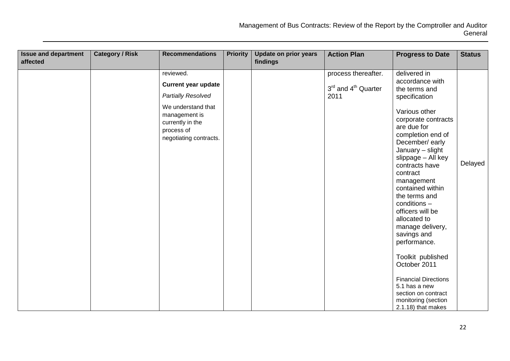| <b>Issue and department</b><br>affected | <b>Category / Risk</b> | <b>Recommendations</b>                                                                                                                                                  | <b>Priority</b> | <b>Update on prior years</b><br>findings | <b>Action Plan</b>                                             | <b>Progress to Date</b>                                                                                                                                                                                                                                                                                                                                                                                                                                                                                                                                      | <b>Status</b> |
|-----------------------------------------|------------------------|-------------------------------------------------------------------------------------------------------------------------------------------------------------------------|-----------------|------------------------------------------|----------------------------------------------------------------|--------------------------------------------------------------------------------------------------------------------------------------------------------------------------------------------------------------------------------------------------------------------------------------------------------------------------------------------------------------------------------------------------------------------------------------------------------------------------------------------------------------------------------------------------------------|---------------|
|                                         |                        | reviewed.<br><b>Current year update</b><br><b>Partially Resolved</b><br>We understand that<br>management is<br>currently in the<br>process of<br>negotiating contracts. |                 |                                          | process thereafter.<br>3rd and 4 <sup>th</sup> Quarter<br>2011 | delivered in<br>accordance with<br>the terms and<br>specification<br>Various other<br>corporate contracts<br>are due for<br>completion end of<br>December/early<br>January - slight<br>slippage - All key<br>contracts have<br>contract<br>management<br>contained within<br>the terms and<br>$conditions -$<br>officers will be<br>allocated to<br>manage delivery,<br>savings and<br>performance.<br>Toolkit published<br>October 2011<br><b>Financial Directions</b><br>5.1 has a new<br>section on contract<br>monitoring (section<br>2.1.18) that makes | Delayed       |